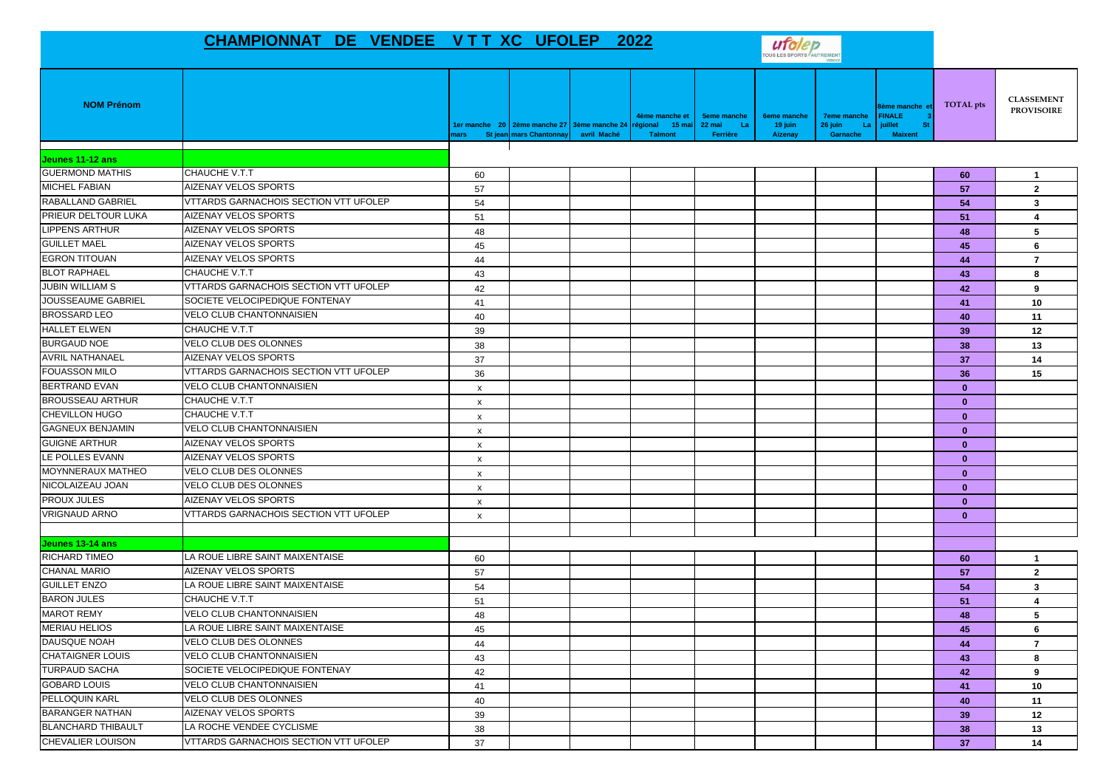## CHAMPIONNAT DE VENDEE V T T XC UFOLEP 2022



| <b>NOM Prénom</b>         |                                              | nars                      | St jean mars Chantonnay avril Maché | 4ème manche et<br>ler manche 20 2ème manche 27 3ème manche 24 régional 15 mai<br>Talmont | <b>5eme manche</b><br>22 mai<br>- La<br>Ferrière | <b>6eme manche</b><br>19 juin<br>Aizenay | <b>7eme manche</b><br>26 juin<br>La<br>Garnache | 3ème manche e<br><b>FINALE</b><br>juillet<br><b>St</b><br><b>Maixent</b> | TOTAL pts    | <b>CLASSEMENT</b><br><b>PROVISOIRE</b> |
|---------------------------|----------------------------------------------|---------------------------|-------------------------------------|------------------------------------------------------------------------------------------|--------------------------------------------------|------------------------------------------|-------------------------------------------------|--------------------------------------------------------------------------|--------------|----------------------------------------|
| Jeunes 11-12 ans          |                                              |                           |                                     |                                                                                          |                                                  |                                          |                                                 |                                                                          |              |                                        |
| <b>GUERMOND MATHIS</b>    | CHAUCHE V.T.T                                | 60                        |                                     |                                                                                          |                                                  |                                          |                                                 |                                                                          | 60           | -1                                     |
| <b>MICHEL FABIAN</b>      | AIZENAY VELOS SPORTS                         | 57                        |                                     |                                                                                          |                                                  |                                          |                                                 |                                                                          | 57           | $\overline{2}$                         |
| <b>RABALLAND GABRIEL</b>  | VTTARDS GARNACHOIS SECTION VTT UFOLEP        | 54                        |                                     |                                                                                          |                                                  |                                          |                                                 |                                                                          | 54           | 3                                      |
| PRIEUR DELTOUR LUKA       | <b>AIZENAY VELOS SPORTS</b>                  | 51                        |                                     |                                                                                          |                                                  |                                          |                                                 |                                                                          | 51           | $\overline{\mathbf{4}}$                |
| <b>LIPPENS ARTHUR</b>     | AIZENAY VELOS SPORTS                         | 48                        |                                     |                                                                                          |                                                  |                                          |                                                 |                                                                          | 48           | 5                                      |
| <b>GUILLET MAEL</b>       | <b>AIZENAY VELOS SPORTS</b>                  | 45                        |                                     |                                                                                          |                                                  |                                          |                                                 |                                                                          | 45           | 6                                      |
| <b>EGRON TITOUAN</b>      | <b>AIZENAY VELOS SPORTS</b>                  | 44                        |                                     |                                                                                          |                                                  |                                          |                                                 |                                                                          | 44           | $\overline{7}$                         |
| <b>BLOT RAPHAEL</b>       | CHAUCHE V.T.T                                | 43                        |                                     |                                                                                          |                                                  |                                          |                                                 |                                                                          | 43           | 8                                      |
| <b>JUBIN WILLIAM S</b>    | <b>VTTARDS GARNACHOIS SECTION VTT UFOLEP</b> | 42                        |                                     |                                                                                          |                                                  |                                          |                                                 |                                                                          | 42           | 9                                      |
| JOUSSEAUME GABRIEL        | SOCIETE VELOCIPEDIQUE FONTENAY               | 41                        |                                     |                                                                                          |                                                  |                                          |                                                 |                                                                          | 41           | 10                                     |
| <b>BROSSARD LEO</b>       | <b>VELO CLUB CHANTONNAISIEN</b>              | 40                        |                                     |                                                                                          |                                                  |                                          |                                                 |                                                                          | 40           | 11                                     |
| <b>HALLET ELWEN</b>       | CHAUCHE V.T.T                                | 39                        |                                     |                                                                                          |                                                  |                                          |                                                 |                                                                          | 39           | 12                                     |
| <b>BURGAUD NOE</b>        | VELO CLUB DES OLONNES                        | 38                        |                                     |                                                                                          |                                                  |                                          |                                                 |                                                                          | 38           | 13                                     |
| <b>AVRIL NATHANAEL</b>    | AIZENAY VELOS SPORTS                         | 37                        |                                     |                                                                                          |                                                  |                                          |                                                 |                                                                          | 37           | 14                                     |
| <b>FOUASSON MILO</b>      | VTTARDS GARNACHOIS SECTION VTT UFOLEP        | 36                        |                                     |                                                                                          |                                                  |                                          |                                                 |                                                                          | 36           | 15                                     |
| <b>BERTRAND EVAN</b>      | <b>VELO CLUB CHANTONNAISIEN</b>              | X                         |                                     |                                                                                          |                                                  |                                          |                                                 |                                                                          | $\mathbf{0}$ |                                        |
| <b>BROUSSEAU ARTHUR</b>   | CHAUCHE V.T.T                                | $\pmb{\mathsf{x}}$        |                                     |                                                                                          |                                                  |                                          |                                                 |                                                                          | $\bf{0}$     |                                        |
| CHEVILLON HUGO            | CHAUCHE V.T.T                                | $\pmb{\mathsf{x}}$        |                                     |                                                                                          |                                                  |                                          |                                                 |                                                                          | $\mathbf{0}$ |                                        |
| <b>GAGNEUX BENJAMIN</b>   | <b>VELO CLUB CHANTONNAISIEN</b>              | $\boldsymbol{\mathsf{x}}$ |                                     |                                                                                          |                                                  |                                          |                                                 |                                                                          | $\mathbf{0}$ |                                        |
| <b>GUIGNE ARTHUR</b>      | AIZENAY VELOS SPORTS                         | X                         |                                     |                                                                                          |                                                  |                                          |                                                 |                                                                          | $\mathbf{0}$ |                                        |
| LE POLLES EVANN           | AIZENAY VELOS SPORTS                         | х                         |                                     |                                                                                          |                                                  |                                          |                                                 |                                                                          | $\mathbf{0}$ |                                        |
| MOYNNERAUX MATHEO         | VELO CLUB DES OLONNES                        | $\pmb{\mathsf{x}}$        |                                     |                                                                                          |                                                  |                                          |                                                 |                                                                          | $\mathbf{0}$ |                                        |
| NICOLAIZEAU JOAN          | <b>VELO CLUB DES OLONNES</b>                 | $\mathsf{x}$              |                                     |                                                                                          |                                                  |                                          |                                                 |                                                                          | $\mathbf{0}$ |                                        |
| <b>PROUX JULES</b>        | AIZENAY VELOS SPORTS                         | $\boldsymbol{\mathsf{X}}$ |                                     |                                                                                          |                                                  |                                          |                                                 |                                                                          | $\mathbf{0}$ |                                        |
| <b>VRIGNAUD ARNO</b>      | VTTARDS GARNACHOIS SECTION VTT UFOLEP        | $\pmb{\times}$            |                                     |                                                                                          |                                                  |                                          |                                                 |                                                                          | $\mathbf{0}$ |                                        |
|                           |                                              |                           |                                     |                                                                                          |                                                  |                                          |                                                 |                                                                          |              |                                        |
| Jeunes 13-14 ans          |                                              |                           |                                     |                                                                                          |                                                  |                                          |                                                 |                                                                          |              |                                        |
| RICHARD TIMEO             | LA ROUE LIBRE SAINT MAIXENTAISE              | 60                        |                                     |                                                                                          |                                                  |                                          |                                                 |                                                                          | 60           | $\overline{1}$                         |
| <b>CHANAL MARIO</b>       | AIZENAY VELOS SPORTS                         | 57                        |                                     |                                                                                          |                                                  |                                          |                                                 |                                                                          | 57           | $\overline{2}$                         |
| <b>GUILLET ENZO</b>       | LA ROUE LIBRE SAINT MAIXENTAISE              | 54                        |                                     |                                                                                          |                                                  |                                          |                                                 |                                                                          | 54           | 3                                      |
| <b>BARON JULES</b>        | CHAUCHE V.T.T                                | 51                        |                                     |                                                                                          |                                                  |                                          |                                                 |                                                                          | 51           | $\overline{\mathbf{4}}$                |
| <b>MAROT REMY</b>         | <b>VELO CLUB CHANTONNAISIEN</b>              | 48                        |                                     |                                                                                          |                                                  |                                          |                                                 |                                                                          | 48           | 5                                      |
| <b>MERIAU HELIOS</b>      | LA ROUE LIBRE SAINT MAIXENTAISE              | 45                        |                                     |                                                                                          |                                                  |                                          |                                                 |                                                                          | 45           | 6                                      |
| DAUSQUE NOAH              | VELO CLUB DES OLONNES                        | 44                        |                                     |                                                                                          |                                                  |                                          |                                                 |                                                                          | 44           | $\overline{7}$                         |
| <b>CHATAIGNER LOUIS</b>   | <b>VELO CLUB CHANTONNAISIEN</b>              | 43                        |                                     |                                                                                          |                                                  |                                          |                                                 |                                                                          | 43           | 8                                      |
| <b>TURPAUD SACHA</b>      | SOCIETE VELOCIPEDIQUE FONTENAY               | 42                        |                                     |                                                                                          |                                                  |                                          |                                                 |                                                                          | 42           | 9                                      |
| <b>GOBARD LOUIS</b>       | <b>VELO CLUB CHANTONNAISIEN</b>              | 41                        |                                     |                                                                                          |                                                  |                                          |                                                 |                                                                          | 41           | 10                                     |
| PELLOQUIN KARL            | VELO CLUB DES OLONNES                        | 40                        |                                     |                                                                                          |                                                  |                                          |                                                 |                                                                          | 40           | 11                                     |
| <b>BARANGER NATHAN</b>    | AIZENAY VELOS SPORTS                         | 39                        |                                     |                                                                                          |                                                  |                                          |                                                 |                                                                          | 39           | 12                                     |
| <b>BLANCHARD THIBAULT</b> | LA ROCHE VENDEE CYCLISME                     | 38                        |                                     |                                                                                          |                                                  |                                          |                                                 |                                                                          | 38           | 13                                     |
| <b>CHEVALIER LOUISON</b>  | <b>VTTARDS GARNACHOIS SECTION VTT UFOLEP</b> | 37                        |                                     |                                                                                          |                                                  |                                          |                                                 |                                                                          | 37           | 14                                     |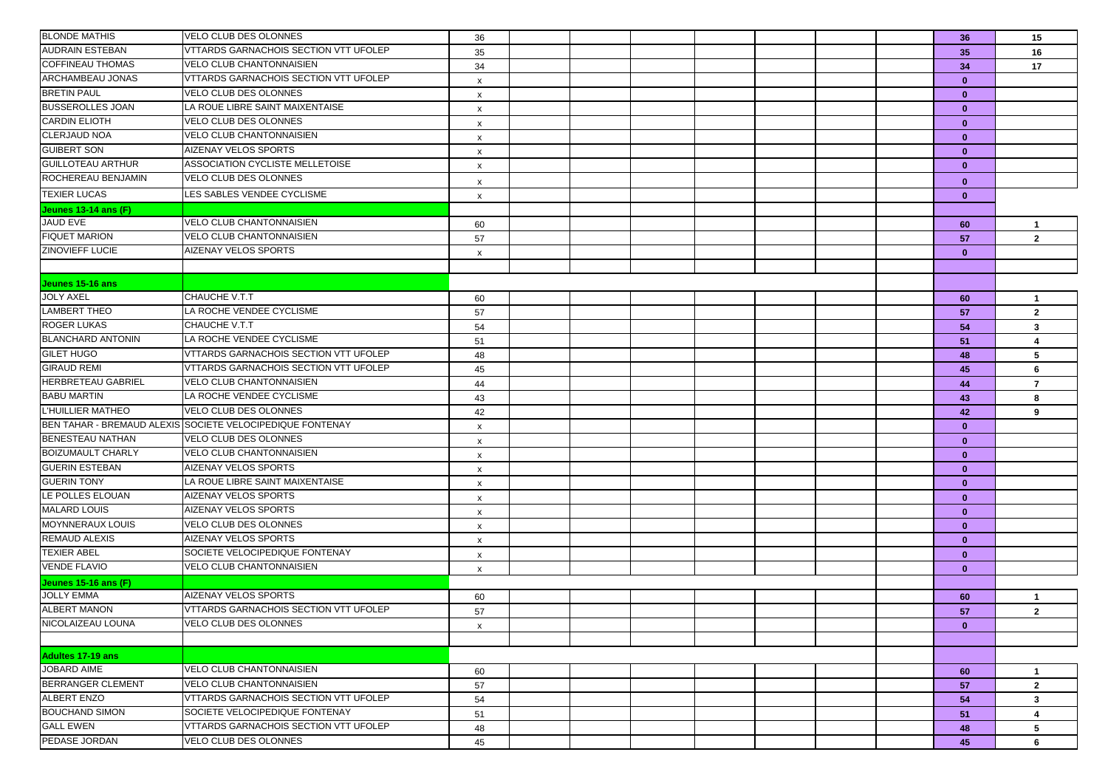| <b>BLONDE MATHIS</b>      | VELO CLUB DES OLONNES                                     | 36                        |  |  |  | 36           | 15                             |
|---------------------------|-----------------------------------------------------------|---------------------------|--|--|--|--------------|--------------------------------|
| <b>AUDRAIN ESTEBAN</b>    | VTTARDS GARNACHOIS SECTION VTT UFOLEP                     | 35                        |  |  |  | 35           | 16                             |
| <b>COFFINEAU THOMAS</b>   | <b>VELO CLUB CHANTONNAISIEN</b>                           | 34                        |  |  |  | 34           | 17                             |
| <b>ARCHAMBEAU JONAS</b>   | VTTARDS GARNACHOIS SECTION VTT UFOLEP                     | $\boldsymbol{\mathsf{x}}$ |  |  |  | $\mathbf{0}$ |                                |
| <b>BRETIN PAUL</b>        | VELO CLUB DES OLONNES                                     | $\boldsymbol{\mathsf{x}}$ |  |  |  | $\bf{0}$     |                                |
| <b>BUSSEROLLES JOAN</b>   | LA ROUE LIBRE SAINT MAIXENTAISE                           | $\boldsymbol{\mathsf{x}}$ |  |  |  | $\mathbf{0}$ |                                |
| <b>CARDIN ELIOTH</b>      | <b>VELO CLUB DES OLONNES</b>                              | $\boldsymbol{\mathsf{x}}$ |  |  |  | $\mathbf{0}$ |                                |
| <b>CLERJAUD NOA</b>       | VELO CLUB CHANTONNAISIEN                                  | $\boldsymbol{\mathsf{x}}$ |  |  |  | $\mathbf{0}$ |                                |
| <b>GUIBERT SON</b>        | AIZENAY VELOS SPORTS                                      | $\boldsymbol{\mathsf{x}}$ |  |  |  | $\mathbf{0}$ |                                |
| <b>GUILLOTEAU ARTHUR</b>  | ASSOCIATION CYCLISTE MELLETOISE                           | $\boldsymbol{\mathsf{x}}$ |  |  |  | $\bf{0}$     |                                |
| ROCHEREAU BENJAMIN        | VELO CLUB DES OLONNES                                     | X                         |  |  |  | $\bf{0}$     |                                |
| <b>TEXIER LUCAS</b>       | LES SABLES VENDEE CYCLISME                                | $\boldsymbol{\mathsf{x}}$ |  |  |  | $\mathbf{0}$ |                                |
| Jeunes 13-14 ans (F)      |                                                           |                           |  |  |  |              |                                |
| JAUD EVE                  | <b>VELO CLUB CHANTONNAISIEN</b>                           | 60                        |  |  |  | 60           | $\mathbf{1}$                   |
| <b>FIQUET MARION</b>      | <b>VELO CLUB CHANTONNAISIEN</b>                           | 57                        |  |  |  | 57           | $\overline{2}$                 |
| ZINOVIEFF LUCIE           | AIZENAY VELOS SPORTS                                      | X                         |  |  |  | $\bf{0}$     |                                |
|                           |                                                           |                           |  |  |  |              |                                |
| Jeunes 15-16 ans          |                                                           |                           |  |  |  |              |                                |
| <b>JOLY AXEL</b>          | CHAUCHE V.T.T                                             |                           |  |  |  |              |                                |
| <b>LAMBERT THEO</b>       | LA ROCHE VENDEE CYCLISME                                  | 60<br>57                  |  |  |  | 60           | $\mathbf{1}$<br>$\overline{2}$ |
| <b>ROGER LUKAS</b>        | CHAUCHE V.T.T                                             | 54                        |  |  |  | 57<br>54     | 3                              |
| <b>BLANCHARD ANTONIN</b>  | LA ROCHE VENDEE CYCLISME                                  | 51                        |  |  |  | 51           | 4                              |
| <b>GILET HUGO</b>         | VTTARDS GARNACHOIS SECTION VTT UFOLEP                     | 48                        |  |  |  | 48           | 5                              |
| <b>GIRAUD REMI</b>        | VTTARDS GARNACHOIS SECTION VTT UFOLEP                     | 45                        |  |  |  | 45           | 6                              |
| <b>HERBRETEAU GABRIEL</b> | <b>VELO CLUB CHANTONNAISIEN</b>                           | 44                        |  |  |  | 44           | $\overline{7}$                 |
| <b>BABU MARTIN</b>        | LA ROCHE VENDEE CYCLISME                                  | 43                        |  |  |  | 43           | 8                              |
| L'HUILLIER MATHEO         | VELO CLUB DES OLONNES                                     | 42                        |  |  |  | 42           | 9                              |
|                           | BEN TAHAR - BREMAUD ALEXIS SOCIETE VELOCIPEDIQUE FONTENAY | $\boldsymbol{\mathsf{x}}$ |  |  |  | $\bf{0}$     |                                |
| <b>BENESTEAU NATHAN</b>   | VELO CLUB DES OLONNES                                     | $\boldsymbol{\mathsf{x}}$ |  |  |  | $\mathbf{0}$ |                                |
| <b>BOIZUMAULT CHARLY</b>  | VELO CLUB CHANTONNAISIEN                                  | $\boldsymbol{\mathsf{x}}$ |  |  |  | $\mathbf{0}$ |                                |
| <b>GUERIN ESTEBAN</b>     | AIZENAY VELOS SPORTS                                      | $\boldsymbol{\mathsf{x}}$ |  |  |  | $\mathbf{0}$ |                                |
| <b>GUERIN TONY</b>        | LA ROUE LIBRE SAINT MAIXENTAISE                           | $\boldsymbol{\mathsf{x}}$ |  |  |  | $\mathbf{0}$ |                                |
| LE POLLES ELOUAN          | AIZENAY VELOS SPORTS                                      | $\boldsymbol{\mathsf{x}}$ |  |  |  | $\mathbf{0}$ |                                |
| <b>MALARD LOUIS</b>       | AIZENAY VELOS SPORTS                                      | $\boldsymbol{\mathsf{x}}$ |  |  |  | $\mathbf{0}$ |                                |
| <b>MOYNNERAUX LOUIS</b>   | VELO CLUB DES OLONNES                                     | X                         |  |  |  | $\mathbf{0}$ |                                |
| <b>REMAUD ALEXIS</b>      | AIZENAY VELOS SPORTS                                      | $\boldsymbol{\mathsf{x}}$ |  |  |  | $\mathbf{0}$ |                                |
| <b>TEXIER ABEL</b>        | SOCIETE VELOCIPEDIQUE FONTENAY                            | $\boldsymbol{\mathsf{x}}$ |  |  |  | $\mathbf{0}$ |                                |
| <b>VENDE FLAVIO</b>       | <b>VELO CLUB CHANTONNAISIEN</b>                           | X                         |  |  |  | $\bf{0}$     |                                |
| Jeunes 15-16 ans (F)      |                                                           |                           |  |  |  |              |                                |
| <b>JOLLY EMMA</b>         | AIZENAY VELOS SPORTS                                      | 60                        |  |  |  | 60           | -1                             |
| <b>ALBERT MANON</b>       | VTTARDS GARNACHOIS SECTION VTT UFOLEP                     | 57                        |  |  |  | 57           | $\overline{2}$                 |
| NICOLAIZEAU LOUNA         | VELO CLUB DES OLONNES                                     | $\boldsymbol{\mathsf{x}}$ |  |  |  | $\mathbf{0}$ |                                |
|                           |                                                           |                           |  |  |  |              |                                |
| Adultes 17-19 ans         |                                                           |                           |  |  |  |              |                                |
| <b>JOBARD AIME</b>        | VELO CLUB CHANTONNAISIEN                                  | 60                        |  |  |  | 60           | $\overline{1}$                 |
| <b>BERRANGER CLEMENT</b>  | VELO CLUB CHANTONNAISIEN                                  | 57                        |  |  |  | 57           | $\mathbf{2}$                   |
| <b>ALBERT ENZO</b>        | <b>VTTARDS GARNACHOIS SECTION VTT UFOLEP</b>              | 54                        |  |  |  | 54           | 3                              |
| <b>BOUCHAND SIMON</b>     | SOCIETE VELOCIPEDIQUE FONTENAY                            | 51                        |  |  |  | 51           | 4                              |
| <b>GALL EWEN</b>          | VTTARDS GARNACHOIS SECTION VTT UFOLEP                     | 48                        |  |  |  | 48           | 5                              |
| PEDASE JORDAN             | VELO CLUB DES OLONNES                                     | 45                        |  |  |  | 45           | 6                              |
|                           |                                                           |                           |  |  |  |              |                                |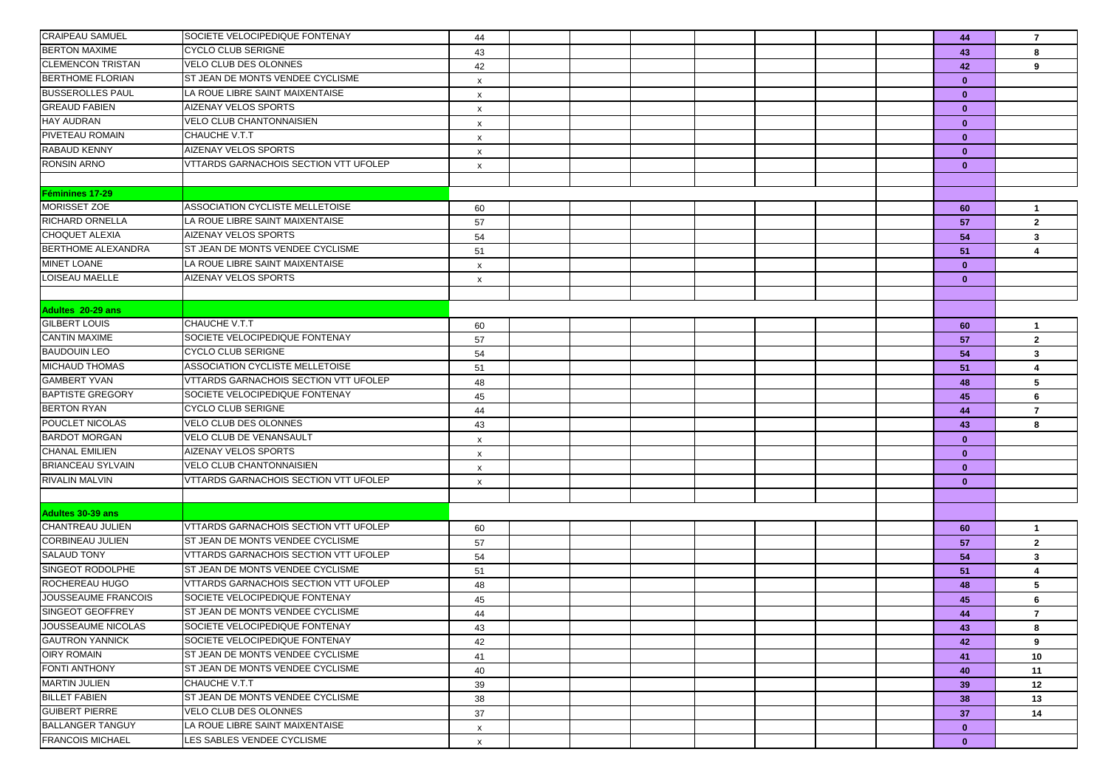| <b>CRAIPEAU SAMUEL</b>   | SOCIETE VELOCIPEDIQUE FONTENAY               | 44                        |  |  |  | 44           | $\overline{7}$               |
|--------------------------|----------------------------------------------|---------------------------|--|--|--|--------------|------------------------------|
| <b>BERTON MAXIME</b>     | CYCLO CLUB SERIGNE                           | 43                        |  |  |  | 43           | 8                            |
| <b>CLEMENCON TRISTAN</b> | <b>VELO CLUB DES OLONNES</b>                 | 42                        |  |  |  | 42           | 9                            |
| <b>BERTHOME FLORIAN</b>  | ST JEAN DE MONTS VENDEE CYCLISME             | $\boldsymbol{\mathsf{x}}$ |  |  |  | $\mathbf{0}$ |                              |
| <b>BUSSEROLLES PAUL</b>  | LA ROUE LIBRE SAINT MAIXENTAISE              | x                         |  |  |  | $\mathbf{0}$ |                              |
| <b>GREAUD FABIEN</b>     | AIZENAY VELOS SPORTS                         | $\boldsymbol{\mathsf{x}}$ |  |  |  | $\mathbf{0}$ |                              |
| <b>HAY AUDRAN</b>        | <b>VELO CLUB CHANTONNAISIEN</b>              | X                         |  |  |  | $\bf{0}$     |                              |
| PIVETEAU ROMAIN          | CHAUCHE V.T.T                                | $\boldsymbol{\mathsf{x}}$ |  |  |  | $\mathbf{0}$ |                              |
| <b>RABAUD KENNY</b>      | AIZENAY VELOS SPORTS                         | $\boldsymbol{\mathsf{x}}$ |  |  |  | $\mathbf{0}$ |                              |
| <b>RONSIN ARNO</b>       | VTTARDS GARNACHOIS SECTION VTT UFOLEP        | x                         |  |  |  | $\mathbf{0}$ |                              |
|                          |                                              |                           |  |  |  |              |                              |
| Feminines 17-29          |                                              |                           |  |  |  |              |                              |
| MORISSET ZOE             | ASSOCIATION CYCLISTE MELLETOISE              | 60                        |  |  |  | 60           | $\mathbf{1}$                 |
| <b>RICHARD ORNELLA</b>   | LA ROUE LIBRE SAINT MAIXENTAISE              | 57                        |  |  |  | 57           | $\overline{2}$               |
| <b>CHOQUET ALEXIA</b>    | AIZENAY VELOS SPORTS                         | 54                        |  |  |  | 54           | 3                            |
| BERTHOME ALEXANDRA       | ST JEAN DE MONTS VENDEE CYCLISME             | 51                        |  |  |  | 51           | 4                            |
| <b>MINET LOANE</b>       | LA ROUE LIBRE SAINT MAIXENTAISE              | X                         |  |  |  | $\mathbf{0}$ |                              |
| <b>LOISEAU MAELLE</b>    | AIZENAY VELOS SPORTS                         | $\boldsymbol{\mathsf{x}}$ |  |  |  | $\mathbf{0}$ |                              |
|                          |                                              |                           |  |  |  |              |                              |
| Adultes 20-29 ans        |                                              |                           |  |  |  |              |                              |
| <b>GILBERT LOUIS</b>     | CHAUCHE V.T.T                                | 60                        |  |  |  | 60           | $\mathbf{1}$                 |
| <b>CANTIN MAXIME</b>     | SOCIETE VELOCIPEDIQUE FONTENAY               | 57                        |  |  |  | 57           | $\overline{2}$               |
| <b>BAUDOUIN LEO</b>      | <b>CYCLO CLUB SERIGNE</b>                    | 54                        |  |  |  | 54           | 3                            |
| <b>MICHAUD THOMAS</b>    | ASSOCIATION CYCLISTE MELLETOISE              | 51                        |  |  |  | 51           | 4                            |
| <b>GAMBERT YVAN</b>      | <b>VTTARDS GARNACHOIS SECTION VTT UFOLEP</b> | 48                        |  |  |  | 48           | 5                            |
| <b>BAPTISTE GREGORY</b>  | SOCIETE VELOCIPEDIQUE FONTENAY               | 45                        |  |  |  | 45           | 6                            |
| <b>BERTON RYAN</b>       | CYCLO CLUB SERIGNE                           | 44                        |  |  |  | 44           | $\overline{7}$               |
| POUCLET NICOLAS          | VELO CLUB DES OLONNES                        | 43                        |  |  |  | 43           | 8                            |
| <b>BARDOT MORGAN</b>     | VELO CLUB DE VENANSAULT                      | X                         |  |  |  | $\mathbf{0}$ |                              |
| <b>CHANAL EMILIEN</b>    | AIZENAY VELOS SPORTS                         | $\boldsymbol{\mathsf{x}}$ |  |  |  | $\mathbf{0}$ |                              |
| <b>BRIANCEAU SYLVAIN</b> | <b>VELO CLUB CHANTONNAISIEN</b>              | X                         |  |  |  | $\mathbf{0}$ |                              |
| <b>RIVALIN MALVIN</b>    | VTTARDS GARNACHOIS SECTION VTT UFOLEP        | x                         |  |  |  | $\mathbf{0}$ |                              |
|                          |                                              |                           |  |  |  |              |                              |
| <b>Adultes 30-39 ans</b> |                                              |                           |  |  |  |              |                              |
| CHANTREAU JULIEN         | VTTARDS GARNACHOIS SECTION VTT UFOLEP        |                           |  |  |  |              |                              |
| <b>CORBINEAU JULIEN</b>  | ST JEAN DE MONTS VENDEE CYCLISME             | 60<br>57                  |  |  |  | 60           | $\mathbf{1}$<br>$\mathbf{2}$ |
| <b>SALAUD TONY</b>       | VTTARDS GARNACHOIS SECTION VTT UFOLEP        |                           |  |  |  | 57<br>54     | 3                            |
| SINGEOT RODOLPHE         | ST JEAN DE MONTS VENDEE CYCLISME             | 54<br>51                  |  |  |  | 51           | 4                            |
| ROCHEREAU HUGO           | VTTARDS GARNACHOIS SECTION VTT UFOLEP        | 48                        |  |  |  | 48           | 5                            |
| JOUSSEAUME FRANCOIS      | SOCIETE VELOCIPEDIQUE FONTENAY               | 45                        |  |  |  | 45           | 6                            |
| <b>SINGEOT GEOFFREY</b>  | ST JEAN DE MONTS VENDEE CYCLISME             | 44                        |  |  |  | 44           | $\overline{7}$               |
| JOUSSEAUME NICOLAS       | SOCIETE VELOCIPEDIQUE FONTENAY               | 43                        |  |  |  | 43           | 8                            |
| <b>GAUTRON YANNICK</b>   | SOCIETE VELOCIPEDIQUE FONTENAY               | 42                        |  |  |  | 42           | 9                            |
| <b>OIRY ROMAIN</b>       | ST JEAN DE MONTS VENDEE CYCLISME             | 41                        |  |  |  | 41           | 10                           |
| <b>FONTI ANTHONY</b>     | ST JEAN DE MONTS VENDEE CYCLISME             | 40                        |  |  |  | 40           | 11                           |
| <b>MARTIN JULIEN</b>     | CHAUCHE V.T.T                                | 39                        |  |  |  | 39           | 12                           |
| <b>BILLET FABIEN</b>     | ST JEAN DE MONTS VENDEE CYCLISME             | 38                        |  |  |  | 38           | 13                           |
| <b>GUIBERT PIERRE</b>    | <b>VELO CLUB DES OLONNES</b>                 | 37                        |  |  |  | 37           | 14                           |
| <b>BALLANGER TANGUY</b>  | LA ROUE LIBRE SAINT MAIXENTAISE              | $\mathsf{x}$              |  |  |  | $\mathbf{0}$ |                              |
| <b>FRANCOIS MICHAEL</b>  | LES SABLES VENDEE CYCLISME                   | $\boldsymbol{\mathsf{x}}$ |  |  |  | $\mathbf{0}$ |                              |
|                          |                                              |                           |  |  |  |              |                              |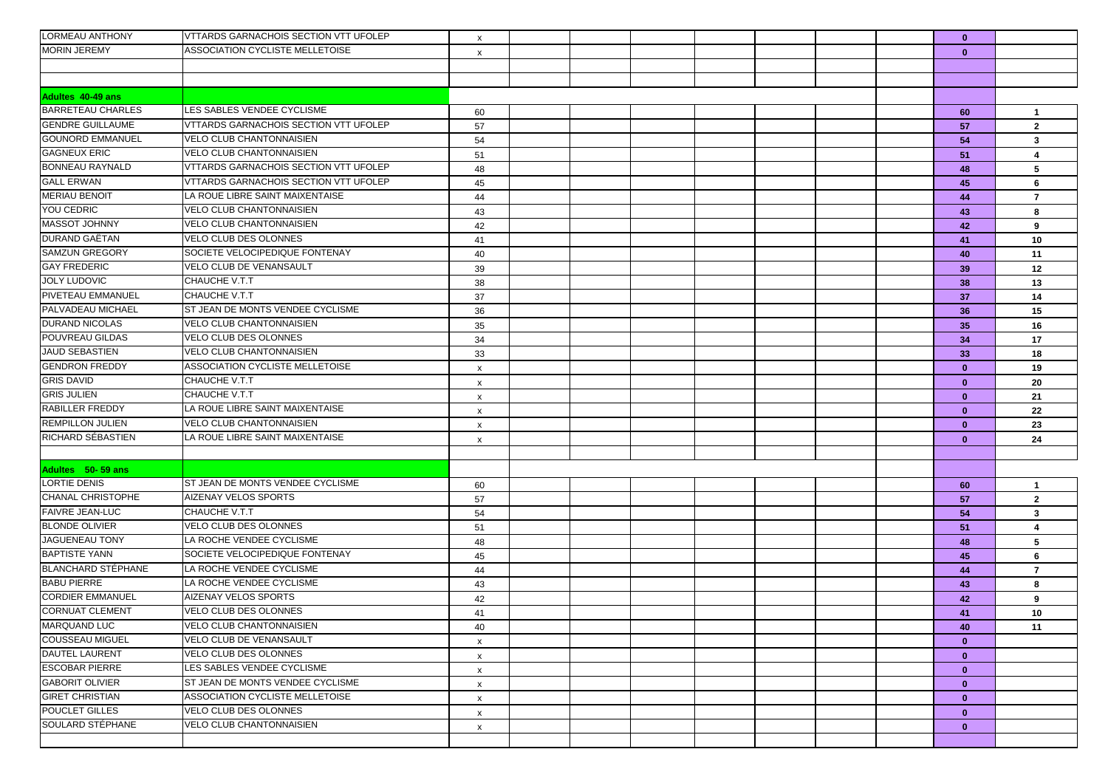| LORMEAU ANTHONY           | VTTARDS GARNACHOIS SECTION VTT UFOLEP        | x                         |  |  |  | $\mathbf{0}$ |                         |
|---------------------------|----------------------------------------------|---------------------------|--|--|--|--------------|-------------------------|
| <b>MORIN JEREMY</b>       | ASSOCIATION CYCLISTE MELLETOISE              | x                         |  |  |  | $\mathbf{0}$ |                         |
|                           |                                              |                           |  |  |  |              |                         |
|                           |                                              |                           |  |  |  |              |                         |
| Adultes 40-49 ans         |                                              |                           |  |  |  |              |                         |
| <b>BARRETEAU CHARLES</b>  | LES SABLES VENDEE CYCLISME                   | 60                        |  |  |  | 60           | $\overline{1}$          |
| <b>GENDRE GUILLAUME</b>   | <b>VTTARDS GARNACHOIS SECTION VTT UFOLEP</b> | 57                        |  |  |  | 57           | $\overline{2}$          |
| <b>GOUNORD EMMANUEL</b>   | <b>VELO CLUB CHANTONNAISIEN</b>              | 54                        |  |  |  | 54           | 3                       |
| <b>GAGNEUX ERIC</b>       | <b>VELO CLUB CHANTONNAISIEN</b>              | 51                        |  |  |  | 51           | $\overline{\mathbf{4}}$ |
| <b>BONNEAU RAYNALD</b>    | <b>VTTARDS GARNACHOIS SECTION VTT UFOLEP</b> | 48                        |  |  |  | 48           | 5                       |
| <b>GALL ERWAN</b>         | VTTARDS GARNACHOIS SECTION VTT UFOLEP        | 45                        |  |  |  | 45           | 6                       |
| <b>MERIAU BENOIT</b>      | LA ROUE LIBRE SAINT MAIXENTAISE              | 44                        |  |  |  | 44           | $\overline{7}$          |
| YOU CEDRIC                | <b>VELO CLUB CHANTONNAISIEN</b>              | 43                        |  |  |  | 43           | 8                       |
| <b>MASSOT JOHNNY</b>      | <b>VELO CLUB CHANTONNAISIEN</b>              | 42                        |  |  |  | 42           | 9                       |
| <b>DURAND GAËTAN</b>      | <b>VELO CLUB DES OLONNES</b>                 | 41                        |  |  |  | 41           | 10                      |
| <b>SAMZUN GREGORY</b>     | SOCIETE VELOCIPEDIQUE FONTENAY               | 40                        |  |  |  | 40           | 11                      |
| <b>GAY FREDERIC</b>       | VELO CLUB DE VENANSAULT                      | 39                        |  |  |  | 39           | 12                      |
| <b>JOLY LUDOVIC</b>       | CHAUCHE V.T.T                                | 38                        |  |  |  | 38           | 13                      |
| <b>PIVETEAU EMMANUEL</b>  | CHAUCHE V.T.T                                | 37                        |  |  |  | 37           | 14                      |
| PALVADEAU MICHAEL         | ST JEAN DE MONTS VENDEE CYCLISME             | 36                        |  |  |  | 36           | 15                      |
| <b>DURAND NICOLAS</b>     | <b>VELO CLUB CHANTONNAISIEN</b>              | 35                        |  |  |  | 35           | 16                      |
| POUVREAU GILDAS           | <b>VELO CLUB DES OLONNES</b>                 | 34                        |  |  |  | 34           | 17                      |
| <b>JAUD SEBASTIEN</b>     | <b>VELO CLUB CHANTONNAISIEN</b>              | 33                        |  |  |  | 33           | 18                      |
| <b>GENDRON FREDDY</b>     | ASSOCIATION CYCLISTE MELLETOISE              | X                         |  |  |  | $\mathbf{0}$ | 19                      |
| <b>GRIS DAVID</b>         | CHAUCHE V.T.T                                | $\pmb{\times}$            |  |  |  | $\mathbf{0}$ | 20                      |
| <b>GRIS JULIEN</b>        | CHAUCHE V.T.T                                | X                         |  |  |  | $\mathbf{0}$ | 21                      |
| RABILLER FREDDY           | LA ROUE LIBRE SAINT MAIXENTAISE              | X                         |  |  |  | $\mathbf{0}$ | 22                      |
| <b>REMPILLON JULIEN</b>   | <b>VELO CLUB CHANTONNAISIEN</b>              | x                         |  |  |  | $\mathbf{0}$ | 23                      |
| RICHARD SÉBASTIEN         | LA ROUE LIBRE SAINT MAIXENTAISE              | X                         |  |  |  | $\mathbf{0}$ | 24                      |
|                           |                                              |                           |  |  |  |              |                         |
| Adultes 50-59 ans         |                                              |                           |  |  |  |              |                         |
| <b>LORTIE DENIS</b>       | ST JEAN DE MONTS VENDEE CYCLISME             | 60                        |  |  |  | 60           | $\overline{1}$          |
| <b>CHANAL CHRISTOPHE</b>  | <b>AIZENAY VELOS SPORTS</b>                  | 57                        |  |  |  | 57           | $\overline{2}$          |
| <b>FAIVRE JEAN-LUC</b>    | CHAUCHE V.T.T                                | 54                        |  |  |  | 54           | $\mathbf{3}$            |
| <b>BLONDE OLIVIER</b>     | <b>VELO CLUB DES OLONNES</b>                 | 51                        |  |  |  | 51           | 4                       |
| JAGUENEAU TONY            | LA ROCHE VENDEE CYCLISME                     | 48                        |  |  |  | 48           | 5                       |
| <b>BAPTISTE YANN</b>      | SOCIETE VELOCIPEDIQUE FONTENAY               | 45                        |  |  |  | 45           | 6                       |
| <b>BLANCHARD STÉPHANE</b> | LA ROCHE VENDEE CYCLISME                     | 44                        |  |  |  | 44           | $\overline{7}$          |
| <b>BABU PIERRE</b>        | LA ROCHE VENDEE CYCLISME                     | 43                        |  |  |  | 43           | 8                       |
| <b>CORDIER EMMANUEL</b>   | <b>AIZENAY VELOS SPORTS</b>                  | 42                        |  |  |  | 42           | 9                       |
| <b>CORNUAT CLEMENT</b>    | VELO CLUB DES OLONNES                        | 41                        |  |  |  | 41           | 10                      |
| <b>MARQUAND LUC</b>       | <b>VELO CLUB CHANTONNAISIEN</b>              | 40                        |  |  |  | 40           | 11                      |
| <b>COUSSEAU MIGUEL</b>    | VELO CLUB DE VENANSAULT                      | $\boldsymbol{\mathsf{x}}$ |  |  |  | $\mathbf{0}$ |                         |
| <b>DAUTEL LAURENT</b>     | VELO CLUB DES OLONNES                        | $\pmb{\mathsf{X}}$        |  |  |  | $\mathbf{0}$ |                         |
| <b>ESCOBAR PIERRE</b>     | LES SABLES VENDEE CYCLISME                   | $\boldsymbol{\mathsf{x}}$ |  |  |  | $\mathbf{0}$ |                         |
| <b>GABORIT OLIVIER</b>    | ST JEAN DE MONTS VENDEE CYCLISME             | $\pmb{\mathsf{x}}$        |  |  |  | $\mathbf{0}$ |                         |
| <b>GIRET CHRISTIAN</b>    | ASSOCIATION CYCLISTE MELLETOISE              | $\pmb{\times}$            |  |  |  | $\mathbf{0}$ |                         |
| POUCLET GILLES            | <b>VELO CLUB DES OLONNES</b>                 | $\boldsymbol{\mathsf{x}}$ |  |  |  | $\mathbf{0}$ |                         |
| SOULARD STÉPHANE          | <b>VELO CLUB CHANTONNAISIEN</b>              | $\boldsymbol{\mathsf{x}}$ |  |  |  | $\mathbf{0}$ |                         |
|                           |                                              |                           |  |  |  |              |                         |